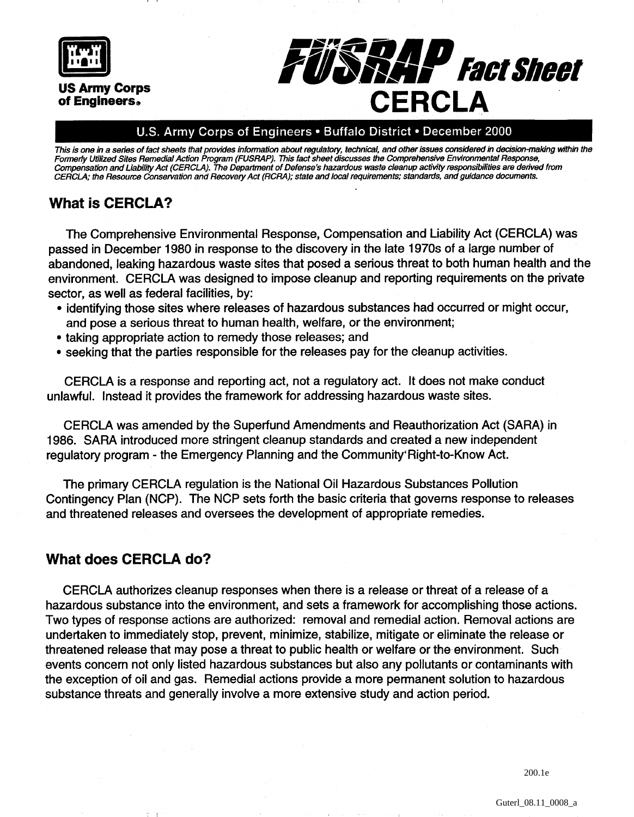

#### U.S. Army Corps of Engineers . Buffalo District . December 2000

This is one in a series of fact sheets that provides information about regulatory, technical, and other issues considered in decision-making within the **Formerly Utilized Sites Remedial Action Program (FUSRAP). This fact sheet discusses the Comprehensive Environmental Response, Compensation and Liability Act (CERCLA). The Department of Defense's hazardous waste cleanup activity responsibilities are derived from CERCLA; the Resource Conservation and Recovery Act (RCRA); state and local requirements; standards, and guidance documents.** 

## **What is CERCLA?**

The Comprehensive Environmental Response, Compensation and Liability Act (CERCLA) was passed in December 1980 in response to the discovery in the late 1970s of a large number of abandoned, leaking hazardous waste sites that posed a serious threat to both human health and the environment. CERCLA was designed to impose cleanup and reporting requirements on the private sector, as well as federal facilities, by:

- identifying those sites where releases of hazardous substances had occurred or might occur, and pose a serious threat to human health, welfare, or the environment;
- taking appropriate action to remedy those releases; and
- seeking that the parties responsible for the releases pay for the cleanup activities.

CERCLA is a response and reporting act, not a regulatory act. It does not make conduct unlawful. Instead it provides the framework for addressing hazardous waste sites.

CERCLA was amended by the Superfund Amendments and Reauthorization Act (SARA) in 1986. SARA introduced more stringent cleanup standards and created a new independent regulatory program - the Emergency Planning and the Community'Right-to-Know Act.

The primary CERCLA regulation is the National Oil Hazardous Substances Pollution Contingency Plan (NCP). The NCP sets forth the basic criteria that governs response to releases and threatened releases and oversees the development of appropriate remedies.

#### **What does CERCLA do?**

CERCLA authorizes cleanup responses when there is a release or threat of a release of a hazardous substance into the environment, and sets a framework for accomplishing those actions. Two types of response actions are authorized: removal and remedial action. Removal actions are undertaken to immediately stop, prevent, minimize, stabilize, mitigate or eliminate the release or threatened release that may pose a threat to public health or welfare or the environment. Such events concern not only listed hazardous substances but also any pollutants or contaminants with the exception of oil and gas. Remedial actions provide a more permanent solution to hazardous substance threats and generally involve a more extensive study and action period.

200.1e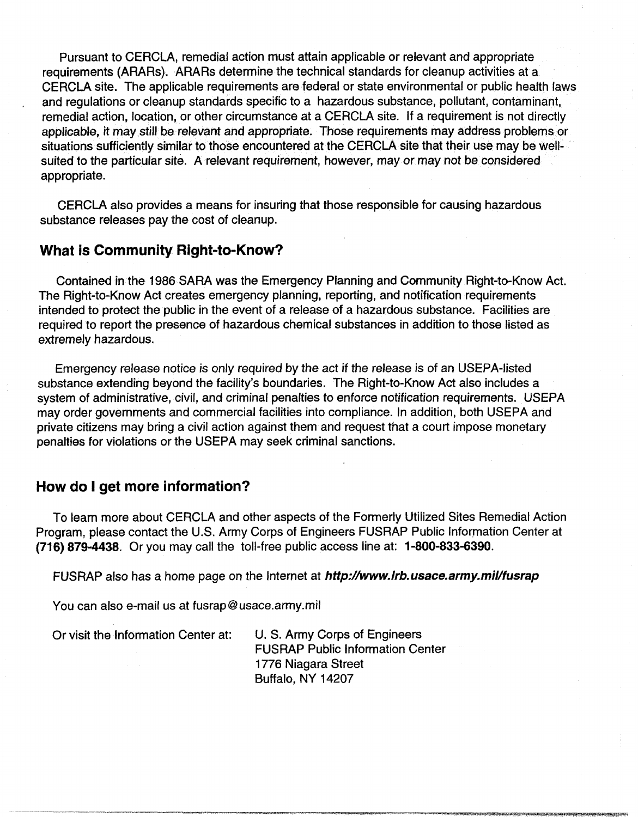Pursuant to CERCLA, remedial action must attain applicable or relevant and appropriate requirements (ARARs). ARARs determine the technical standards for cleanup activities at a CERCLA site. The applicable requirements are federal or state environmental or public health laws and regulations or cleanup standards specific to a hazardous substance, pollutant, contaminant, remedial action, location, or other circumstance at a CERCLA site. If a requirement is not directly applicable, it may still be relevant and appropriate. Those requirements may address problems or situations sufficiently similar to those encountered at the CERCLA site that their use may be wellsuited to the particular site. A relevant requirement, however, may or may not be considered appropriate.

CERCLA also provides a means for insuring that those responsible for causing hazardous substance releases pay the cost of cleanup.

## **What is Community Right-to-Know?**

Contained in the 1986 SARA was the Emergency Planning and Community Right-to-Know Act. The Right-to-Know Act creates emergency planning, reporting, and notification requirements intended to protect the public in the event of a release of a hazardous substance. Facilities are required to report the presence of hazardous chemical substances in addition to those listed as extremely hazardous.

Emergency release notice is only required by the act if the release is of an USEPA-listed substance extending beyond the facility's boundaries. The Right-to-Know Act also includes a system of administrative, civil, and criminal penalties to enforce notification requirements. USEPA may order governments and commercial facilities into compliance. In addition, both USEPA and private citizens may bring a civil action against them and request that a court impose monetary penalties for violations or the USEPA may seek criminal sanctions.

#### **How do I get more information?**

To learn more about CERCLA and other aspects of the Formerly Utilized Sites Remedial Action Program, please contact the U.S. Army Corps of Engineers FUSRAP Public lnformation Center at **(71 6) 879-4438.** Or you may call the toll-free public access line at: **1-800-833-6390.** 

FUSRAP also has a home page on the Internet at **http://www.irb.usace.army.mil/fusrap** 

You can also e-mail us at fusrap@usace.army.mil

Or visit the lnformation Center at: U. S. Army Corps of Engineers

FUSRAP Public lnformation Center 1776 Niagara Street Buffalo, NY 14207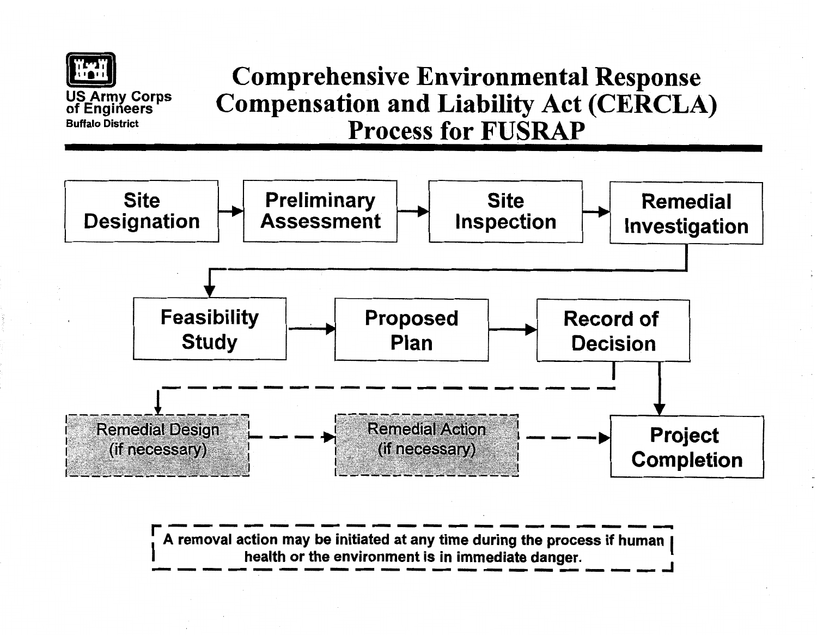

# [i) **Comprehensive Environmental Response Compensation and Liability Act (CERCLA) Process for FUSRAP**



I **A removal action may be initiated at any time during the process if human health or the environment is in immediate danger.** I health or the environment is in immediate danger.